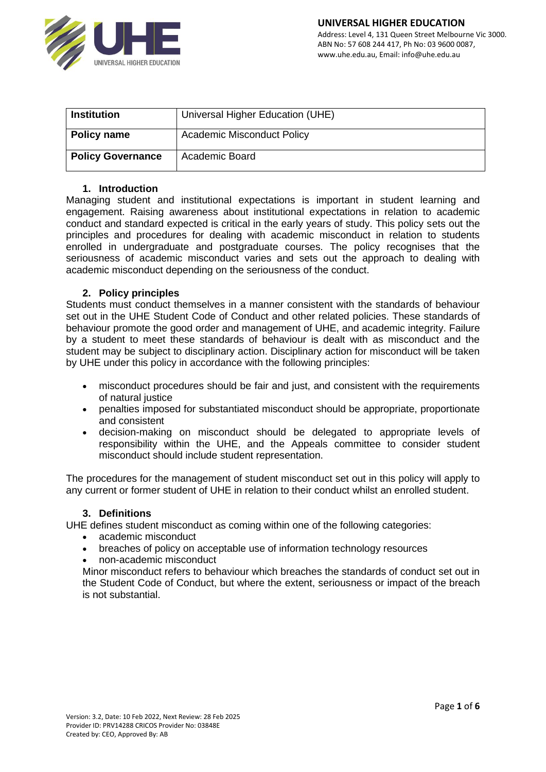

| <b>Institution</b>       | Universal Higher Education (UHE)  |
|--------------------------|-----------------------------------|
|                          |                                   |
| Policy name              | <b>Academic Misconduct Policy</b> |
| <b>Policy Governance</b> | Academic Board                    |

### **1. Introduction**

Managing student and institutional expectations is important in student learning and engagement. Raising awareness about institutional expectations in relation to academic conduct and standard expected is critical in the early years of study. This policy sets out the principles and procedures for dealing with academic misconduct in relation to students enrolled in undergraduate and postgraduate courses. The policy recognises that the seriousness of academic misconduct varies and sets out the approach to dealing with academic misconduct depending on the seriousness of the conduct.

### **2. Policy principles**

Students must conduct themselves in a manner consistent with the standards of behaviour set out in the UHE Student Code of Conduct and other related policies. These standards of behaviour promote the good order and management of UHE, and academic integrity. Failure by a student to meet these standards of behaviour is dealt with as misconduct and the student may be subject to disciplinary action. Disciplinary action for misconduct will be taken by UHE under this policy in accordance with the following principles:

- misconduct procedures should be fair and just, and consistent with the requirements of natural justice
- penalties imposed for substantiated misconduct should be appropriate, proportionate and consistent
- decision-making on misconduct should be delegated to appropriate levels of responsibility within the UHE, and the Appeals committee to consider student misconduct should include student representation.

The procedures for the management of student misconduct set out in this policy will apply to any current or former student of UHE in relation to their conduct whilst an enrolled student.

### **3. Definitions**

UHE defines student misconduct as coming within one of the following categories:

- academic misconduct
- breaches of policy on acceptable use of information technology resources
- non-academic misconduct

Minor misconduct refers to behaviour which breaches the standards of conduct set out in the Student Code of Conduct, but where the extent, seriousness or impact of the breach is not substantial.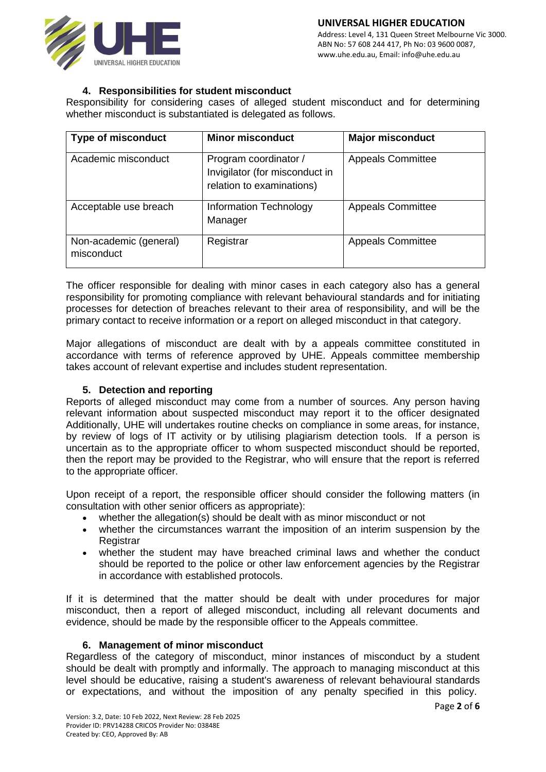www.uhe.edu.au, Email: info@uhe.edu.au



### **4. Responsibilities for student misconduct**

Responsibility for considering cases of alleged student misconduct and for determining whether misconduct is substantiated is delegated as follows.

| <b>Type of misconduct</b>            | <b>Minor misconduct</b>                                                              | <b>Major misconduct</b>  |
|--------------------------------------|--------------------------------------------------------------------------------------|--------------------------|
| Academic misconduct                  | Program coordinator /<br>Invigilator (for misconduct in<br>relation to examinations) | <b>Appeals Committee</b> |
| Acceptable use breach                | <b>Information Technology</b><br>Manager                                             | <b>Appeals Committee</b> |
| Non-academic (general)<br>misconduct | Registrar                                                                            | <b>Appeals Committee</b> |

The officer responsible for dealing with minor cases in each category also has a general responsibility for promoting compliance with relevant behavioural standards and for initiating processes for detection of breaches relevant to their area of responsibility, and will be the primary contact to receive information or a report on alleged misconduct in that category.

Major allegations of misconduct are dealt with by a appeals committee constituted in accordance with terms of reference approved by UHE. Appeals committee membership takes account of relevant expertise and includes student representation.

## **5. Detection and reporting**

Reports of alleged misconduct may come from a number of sources. Any person having relevant information about suspected misconduct may report it to the officer designated Additionally, UHE will undertakes routine checks on compliance in some areas, for instance, by review of logs of IT activity or by utilising plagiarism detection tools. If a person is uncertain as to the appropriate officer to whom suspected misconduct should be reported, then the report may be provided to the Registrar, who will ensure that the report is referred to the appropriate officer.

Upon receipt of a report, the responsible officer should consider the following matters (in consultation with other senior officers as appropriate):

- whether the allegation(s) should be dealt with as minor misconduct or not
- whether the circumstances warrant the imposition of an interim suspension by the **Registrar**
- whether the student may have breached criminal laws and whether the conduct should be reported to the police or other law enforcement agencies by the Registrar in accordance with established protocols.

If it is determined that the matter should be dealt with under procedures for major misconduct, then a report of alleged misconduct, including all relevant documents and evidence, should be made by the responsible officer to the Appeals committee.

# **6. Management of minor misconduct**

Regardless of the category of misconduct, minor instances of misconduct by a student should be dealt with promptly and informally. The approach to managing misconduct at this level should be educative, raising a student's awareness of relevant behavioural standards or expectations, and without the imposition of any penalty specified in this policy.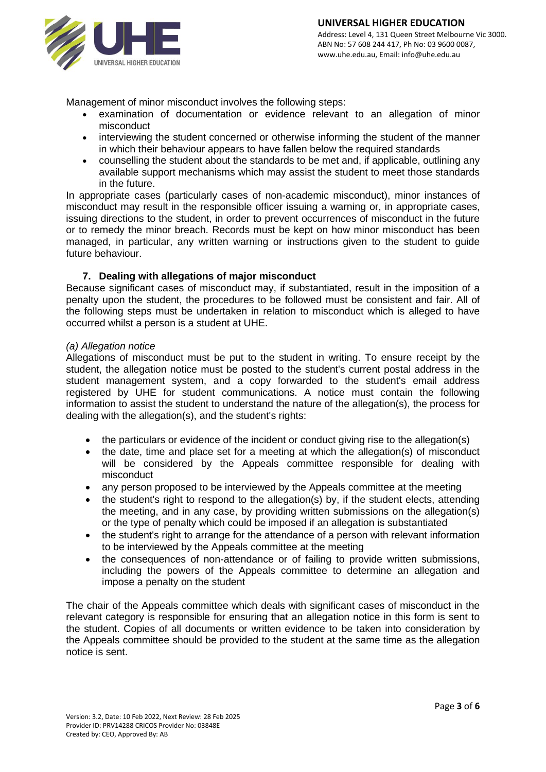

Management of minor misconduct involves the following steps:

- examination of documentation or evidence relevant to an allegation of minor misconduct
- interviewing the student concerned or otherwise informing the student of the manner in which their behaviour appears to have fallen below the required standards
- counselling the student about the standards to be met and, if applicable, outlining any available support mechanisms which may assist the student to meet those standards in the future.

In appropriate cases (particularly cases of non-academic misconduct), minor instances of misconduct may result in the responsible officer issuing a warning or, in appropriate cases, issuing directions to the student, in order to prevent occurrences of misconduct in the future or to remedy the minor breach. Records must be kept on how minor misconduct has been managed, in particular, any written warning or instructions given to the student to guide future behaviour.

# **7. Dealing with allegations of major misconduct**

Because significant cases of misconduct may, if substantiated, result in the imposition of a penalty upon the student, the procedures to be followed must be consistent and fair. All of the following steps must be undertaken in relation to misconduct which is alleged to have occurred whilst a person is a student at UHE.

### *(a) Allegation notice*

Allegations of misconduct must be put to the student in writing. To ensure receipt by the student, the allegation notice must be posted to the student's current postal address in the student management system, and a copy forwarded to the student's email address registered by UHE for student communications. A notice must contain the following information to assist the student to understand the nature of the allegation(s), the process for dealing with the allegation(s), and the student's rights:

- the particulars or evidence of the incident or conduct giving rise to the allegation(s)
- the date, time and place set for a meeting at which the allegation(s) of misconduct will be considered by the Appeals committee responsible for dealing with misconduct
- any person proposed to be interviewed by the Appeals committee at the meeting
- the student's right to respond to the allegation(s) by, if the student elects, attending the meeting, and in any case, by providing written submissions on the allegation(s) or the type of penalty which could be imposed if an allegation is substantiated
- the student's right to arrange for the attendance of a person with relevant information to be interviewed by the Appeals committee at the meeting
- the consequences of non-attendance or of failing to provide written submissions, including the powers of the Appeals committee to determine an allegation and impose a penalty on the student

The chair of the Appeals committee which deals with significant cases of misconduct in the relevant category is responsible for ensuring that an allegation notice in this form is sent to the student. Copies of all documents or written evidence to be taken into consideration by the Appeals committee should be provided to the student at the same time as the allegation notice is sent.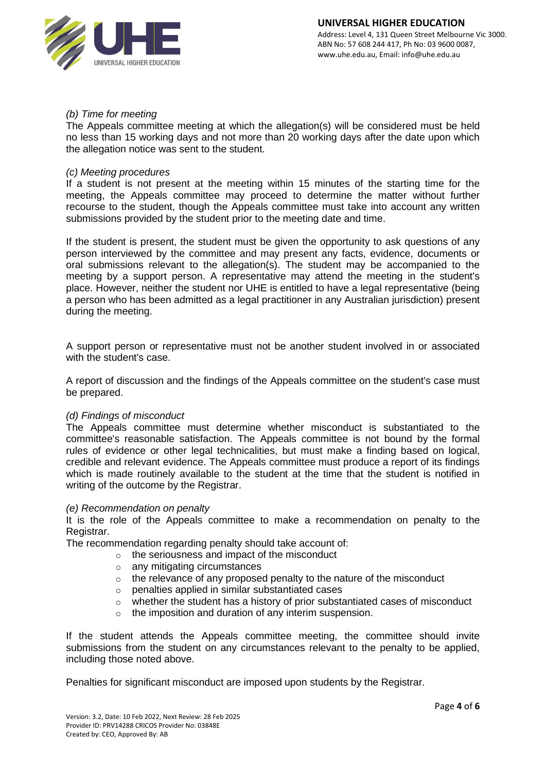

# *(b) Time for meeting*

The Appeals committee meeting at which the allegation(s) will be considered must be held no less than 15 working days and not more than 20 working days after the date upon which the allegation notice was sent to the student.

## *(c) Meeting procedures*

If a student is not present at the meeting within 15 minutes of the starting time for the meeting, the Appeals committee may proceed to determine the matter without further recourse to the student, though the Appeals committee must take into account any written submissions provided by the student prior to the meeting date and time.

If the student is present, the student must be given the opportunity to ask questions of any person interviewed by the committee and may present any facts, evidence, documents or oral submissions relevant to the allegation(s). The student may be accompanied to the meeting by a support person. A representative may attend the meeting in the student's place. However, neither the student nor UHE is entitled to have a legal representative (being a person who has been admitted as a legal practitioner in any Australian jurisdiction) present during the meeting.

A support person or representative must not be another student involved in or associated with the student's case.

A report of discussion and the findings of the Appeals committee on the student's case must be prepared.

### *(d) Findings of misconduct*

The Appeals committee must determine whether misconduct is substantiated to the committee's reasonable satisfaction. The Appeals committee is not bound by the formal rules of evidence or other legal technicalities, but must make a finding based on logical, credible and relevant evidence. The Appeals committee must produce a report of its findings which is made routinely available to the student at the time that the student is notified in writing of the outcome by the Registrar.

### *(e) Recommendation on penalty*

It is the role of the Appeals committee to make a recommendation on penalty to the Registrar.

The recommendation regarding penalty should take account of:

- o the seriousness and impact of the misconduct
- o any mitigating circumstances
- o the relevance of any proposed penalty to the nature of the misconduct
- o penalties applied in similar substantiated cases
- $\circ$  whether the student has a history of prior substantiated cases of misconduct
- o the imposition and duration of any interim suspension.

If the student attends the Appeals committee meeting, the committee should invite submissions from the student on any circumstances relevant to the penalty to be applied, including those noted above.

Penalties for significant misconduct are imposed upon students by the Registrar.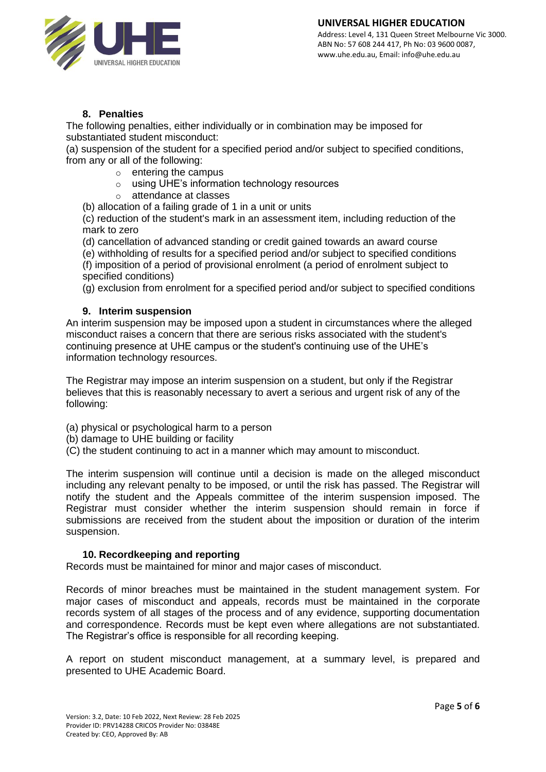

# **8. Penalties**

The following penalties, either individually or in combination may be imposed for substantiated student misconduct:

(a) suspension of the student for a specified period and/or subject to specified conditions, from any or all of the following:

- $\circ$  entering the campus
- o using UHE's information technology resources
- o attendance at classes

(b) allocation of a failing grade of 1 in a unit or units

(c) reduction of the student's mark in an assessment item, including reduction of the mark to zero

(d) cancellation of advanced standing or credit gained towards an award course

(e) withholding of results for a specified period and/or subject to specified conditions (f) imposition of a period of provisional enrolment (a period of enrolment subject to specified conditions)

(g) exclusion from enrolment for a specified period and/or subject to specified conditions

# **9. Interim suspension**

An interim suspension may be imposed upon a student in circumstances where the alleged misconduct raises a concern that there are serious risks associated with the student's continuing presence at UHE campus or the student's continuing use of the UHE's information technology resources.

The Registrar may impose an interim suspension on a student, but only if the Registrar believes that this is reasonably necessary to avert a serious and urgent risk of any of the following:

- (a) physical or psychological harm to a person
- (b) damage to UHE building or facility
- (C) the student continuing to act in a manner which may amount to misconduct.

The interim suspension will continue until a decision is made on the alleged misconduct including any relevant penalty to be imposed, or until the risk has passed. The Registrar will notify the student and the Appeals committee of the interim suspension imposed. The Registrar must consider whether the interim suspension should remain in force if submissions are received from the student about the imposition or duration of the interim suspension.

# **10. Recordkeeping and reporting**

Records must be maintained for minor and major cases of misconduct.

Records of minor breaches must be maintained in the student management system. For major cases of misconduct and appeals, records must be maintained in the corporate records system of all stages of the process and of any evidence, supporting documentation and correspondence. Records must be kept even where allegations are not substantiated. The Registrar's office is responsible for all recording keeping.

A report on student misconduct management, at a summary level, is prepared and presented to UHE Academic Board.